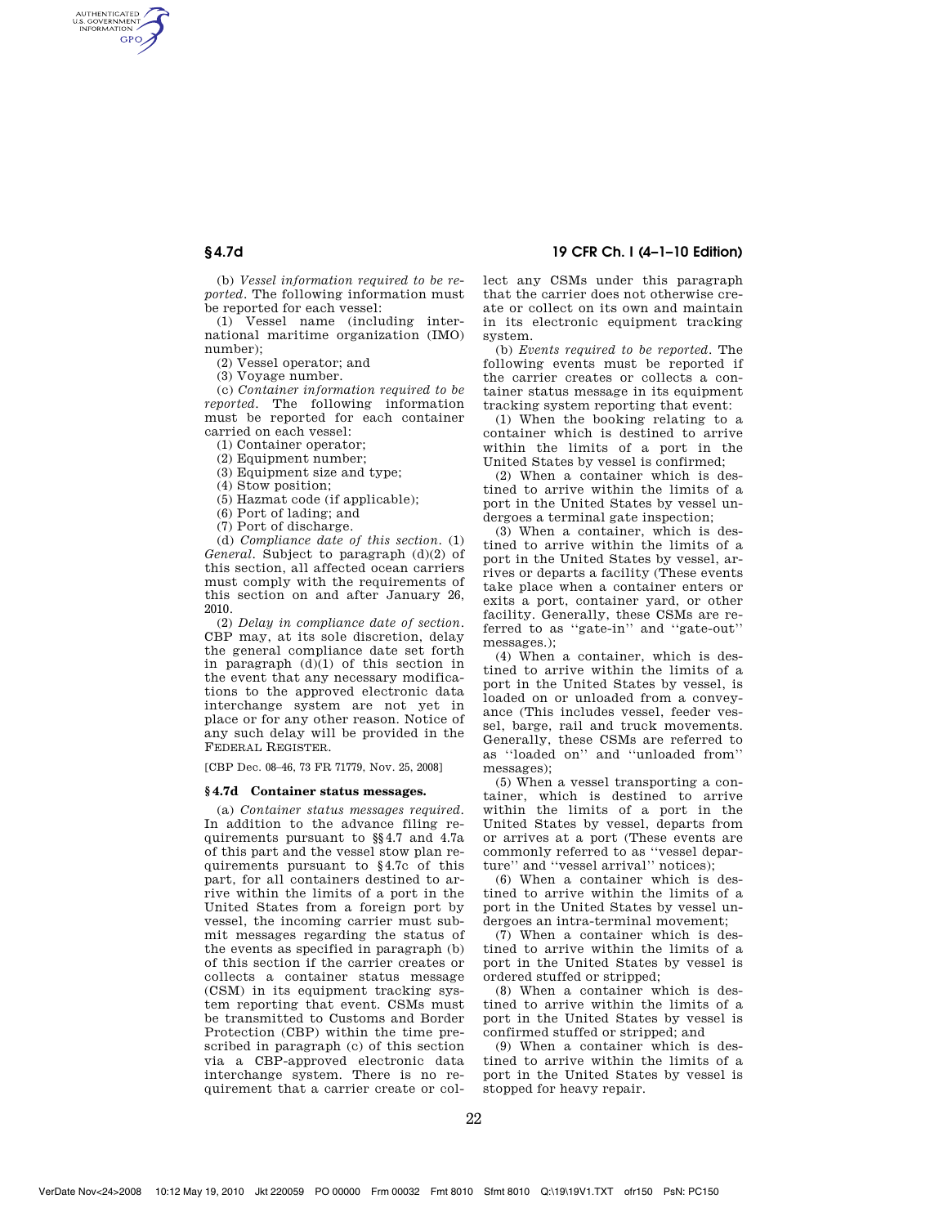AUTHENTICATED<br>U.S. GOVERNMENT<br>INFORMATION **GPO** 

> (b) *Vessel information required to be reported*. The following information must be reported for each vessel:

(1) Vessel name (including international maritime organization (IMO) number);

(2) Vessel operator; and

(3) Voyage number.

(c) *Container information required to be reported*. The following information must be reported for each container carried on each vessel:

(1) Container operator;

(2) Equipment number;

(3) Equipment size and type;

(4) Stow position;

(5) Hazmat code (if applicable);

(6) Port of lading; and

(7) Port of discharge.

(d) *Compliance date of this section*. (1) *General*. Subject to paragraph (d)(2) of this section, all affected ocean carriers must comply with the requirements of this section on and after January 26, 2010.

(2) *Delay in compliance date of section*. CBP may, at its sole discretion, delay the general compliance date set forth in paragraph (d)(1) of this section in the event that any necessary modifications to the approved electronic data interchange system are not yet in place or for any other reason. Notice of any such delay will be provided in the FEDERAL REGISTER.

[CBP Dec. 08–46, 73 FR 71779, Nov. 25, 2008]

## **§ 4.7d Container status messages.**

(a) *Container status messages required*. In addition to the advance filing requirements pursuant to §§4.7 and 4.7a of this part and the vessel stow plan requirements pursuant to §4.7c of this part, for all containers destined to arrive within the limits of a port in the United States from a foreign port by vessel, the incoming carrier must submit messages regarding the status of the events as specified in paragraph (b) of this section if the carrier creates or collects a container status message (CSM) in its equipment tracking system reporting that event. CSMs must be transmitted to Customs and Border Protection (CBP) within the time prescribed in paragraph (c) of this section via a CBP-approved electronic data interchange system. There is no requirement that a carrier create or col-

# **§ 4.7d 19 CFR Ch. I (4–1–10 Edition)**

lect any CSMs under this paragraph that the carrier does not otherwise create or collect on its own and maintain in its electronic equipment tracking system.

(b) *Events required to be reported*. The following events must be reported if the carrier creates or collects a container status message in its equipment tracking system reporting that event:

(1) When the booking relating to a container which is destined to arrive within the limits of a port in the United States by vessel is confirmed;

(2) When a container which is destined to arrive within the limits of a port in the United States by vessel undergoes a terminal gate inspection;

(3) When a container, which is destined to arrive within the limits of a port in the United States by vessel, arrives or departs a facility (These events take place when a container enters or exits a port, container yard, or other facility. Generally, these CSMs are referred to as ''gate-in'' and ''gate-out'' messages.);

(4) When a container, which is destined to arrive within the limits of a port in the United States by vessel, is loaded on or unloaded from a conveyance (This includes vessel, feeder vessel, barge, rail and truck movements. Generally, these CSMs are referred to as ''loaded on'' and ''unloaded from'' messages);

(5) When a vessel transporting a container, which is destined to arrive within the limits of a port in the United States by vessel, departs from or arrives at a port (These events are commonly referred to as ''vessel departure'' and ''vessel arrival'' notices);

(6) When a container which is destined to arrive within the limits of a port in the United States by vessel undergoes an intra-terminal movement;

(7) When a container which is destined to arrive within the limits of a port in the United States by vessel is ordered stuffed or stripped;

(8) When a container which is destined to arrive within the limits of a port in the United States by vessel is confirmed stuffed or stripped; and

(9) When a container which is destined to arrive within the limits of a port in the United States by vessel is stopped for heavy repair.